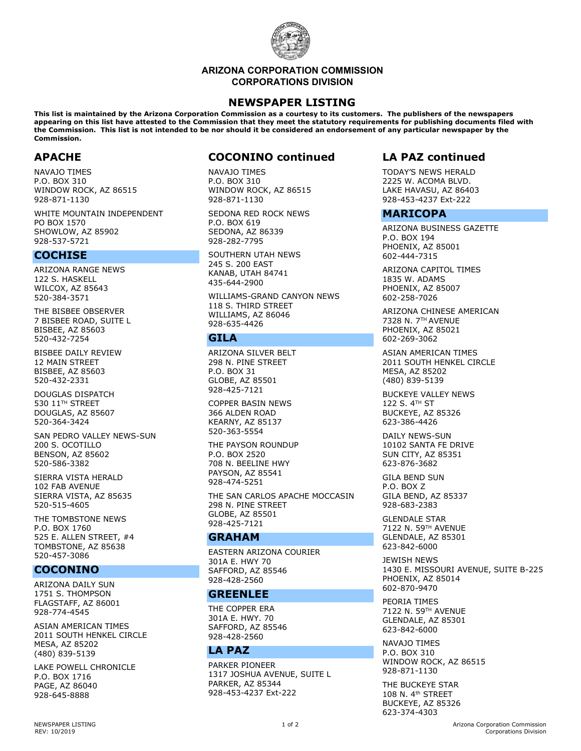

### ARIZONA CORPORATION COMMISSION CORPORATIONS DIVISION

### NEWSPAPER LISTING

This list is maintained by the Arizona Corporation Commission as a courtesy to its customers. The publishers of the newspapers appearing on this list have attested to the Commission that they meet the statutory requirements for publishing documents filed with the Commission. This list is not intended to be nor should it be considered an endorsement of any particular newspaper by the Commission.

# APACHE

NAVAJO TIMES P.O. BOX 310 WINDOW ROCK, AZ 86515 928-871-1130

WHITE MOUNTAIN INDEPENDENT PO BOX 1570 SHOWLOW, AZ 85902 928-537-5721

# **COCHISE**

ARIZONA RANGE NEWS 122 S. HASKELL WILCOX, AZ 85643 520-384-3571

THE BISBEE OBSERVER 7 BISBEE ROAD, SUITE L BISBEE, AZ 85603 520-432-7254

BISBEE DAILY REVIEW 12 MAIN STREET BISBEE, AZ 85603 520-432-2331

DOUGLAS DISPATCH 530 11TH STREET DOUGLAS, AZ 85607 520-364-3424

SAN PEDRO VALLEY NEWS-SUN 200 S. OCOTILLO BENSON, AZ 85602 520-586-3382

SIERRA VISTA HERALD 102 FAB AVENUE SIERRA VISTA, AZ 85635 520-515-4605

THE TOMBSTONE NEWS P.O. BOX 1760 525 E. ALLEN STREET, #4 TOMBSTONE, AZ 85638 520-457-3086

# COCONINO

ARIZONA DAILY SUN 1751 S. THOMPSON FLAGSTAFF, AZ 86001 928-774-4545

ASIAN AMERICAN TIMES 2011 SOUTH HENKEL CIRCLE MESA, AZ 85202 (480) 839-5139

LAKE POWELL CHRONICLE P.O. BOX 1716 PAGE, AZ 86040 928-645-8888

# COCONINO continued

NAVAJO TIMES P.O. BOX 310 WINDOW ROCK, AZ 86515 928-871-1130

SEDONA RED ROCK NEWS P.O. BOX 619 SEDONA, AZ 86339 928-282-7795

SOUTHERN UTAH NEWS 245 S. 200 EAST KANAB, UTAH 84741 435-644-2900

WILLIAMS-GRAND CANYON NEWS 118 S. THIRD STREET WILLIAMS, AZ 86046 928-635-4426

## GILA

ARIZONA SILVER BELT 298 N. PINE STREET P.O. BOX 31 GLOBE, AZ 85501 928-425-7121

COPPER BASIN NEWS 366 ALDEN ROAD KEARNY, AZ 85137 520-363-5554

THE PAYSON ROUNDUP P.O. BOX 2520 708 N. BEELINE HWY PAYSON, AZ 85541 928-474-5251

THE SAN CARLOS APACHE MOCCASIN 298 N. PINE STREET GLOBE, AZ 85501 928-425-7121

### GRAHAM

EASTERN ARIZONA COURIER 301A E. HWY 70 SAFFORD, AZ 85546 928-428-2560

#### GREENLEE

THE COPPER ERA 301A E. HWY. 70 SAFFORD, AZ 85546 928-428-2560

# LA PAZ

PARKER PIONEER 1317 JOSHUA AVENUE, SUITE L PARKER, AZ 85344 928-453-4237 Ext-222

# LA PAZ continued

TODAY'S NEWS HERALD 2225 W. ACOMA BLVD. LAKE HAVASU, AZ 86403 928-453-4237 Ext-222

### MARICOPA

ARIZONA BUSINESS GAZETTE P.O. BOX 194 PHOENIX, AZ 85001 602-444-7315

ARIZONA CAPITOL TIMES 1835 W. ADAMS PHOENIX, AZ 85007 602-258-7026

ARIZONA CHINESE AMERICAN 7328 N. 7TH AVENUE PHOENIX, AZ 85021 602-269-3062

ASIAN AMERICAN TIMES 2011 SOUTH HENKEL CIRCLE MESA, AZ 85202 (480) 839-5139

BUCKEYE VALLEY NEWS 122 S. 4TH ST BUCKEYE, AZ 85326 623-386-4426

DAILY NEWS-SUN 10102 SANTA FE DRIVE SUN CITY, AZ 85351 623-876-3682

GILA BEND SUN P.O. BOX Z GILA BEND, AZ 85337 928-683-2383

GLENDALE STAR 7122 N. 59TH AVENUE GLENDALE, AZ 85301 623-842-6000

JEWISH NEWS 1430 E. MISSOURI AVENUE, SUITE B-225 PHOENIX, AZ 85014 602-870-9470

PEORIA TIMES 7122 N. 59TH AVENUE GLENDALE, AZ 85301 623-842-6000

NAVAJO TIMES P.O. BOX 310 WINDOW ROCK, AZ 86515 928-871-1130

THE BUCKEYE STAR 108 N. 4th STREET BUCKEYE, AZ 85326 623-374-4303